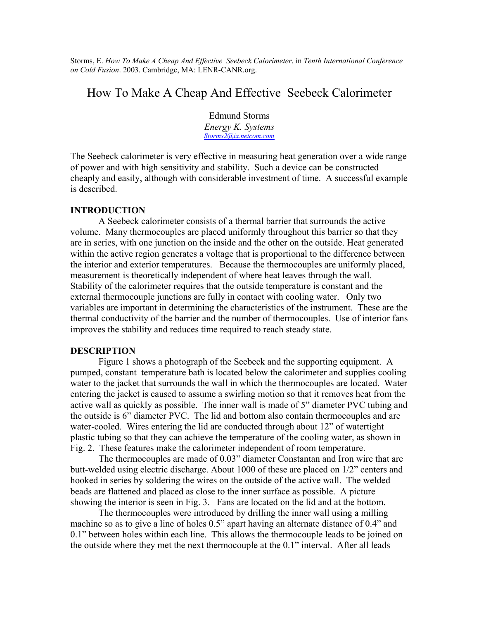Storms, E. *How To Make A Cheap And Effective Seebeck Calorimeter*. in *Tenth International Conference on Cold Fusion*. 2003. Cambridge, MA: LENR-CANR.org.

## How To Make A Cheap And Effective Seebeck Calorimeter

Edmund Storms *Energy K. Systems [Storms2@ix.netcom.com](mailto:Storms2@ix.netcom.com)*

The Seebeck calorimeter is very effective in measuring heat generation over a wide range of power and with high sensitivity and stability. Such a device can be constructed cheaply and easily, although with considerable investment of time. A successful example is described.

## **INTRODUCTION**

 A Seebeck calorimeter consists of a thermal barrier that surrounds the active volume. Many thermocouples are placed uniformly throughout this barrier so that they are in series, with one junction on the inside and the other on the outside. Heat generated within the active region generates a voltage that is proportional to the difference between the interior and exterior temperatures. Because the thermocouples are uniformly placed, measurement is theoretically independent of where heat leaves through the wall. Stability of the calorimeter requires that the outside temperature is constant and the external thermocouple junctions are fully in contact with cooling water. Only two variables are important in determining the characteristics of the instrument. These are the thermal conductivity of the barrier and the number of thermocouples. Use of interior fans improves the stability and reduces time required to reach steady state.

## **DESCRIPTION**

 Figure 1 shows a photograph of the Seebeck and the supporting equipment. A pumped, constant–temperature bath is located below the calorimeter and supplies cooling water to the jacket that surrounds the wall in which the thermocouples are located. Water entering the jacket is caused to assume a swirling motion so that it removes heat from the active wall as quickly as possible. The inner wall is made of 5" diameter PVC tubing and the outside is 6" diameter PVC. The lid and bottom also contain thermocouples and are water-cooled. Wires entering the lid are conducted through about 12" of watertight plastic tubing so that they can achieve the temperature of the cooling water, as shown in Fig. 2. These features make the calorimeter independent of room temperature.

The thermocouples are made of 0.03" diameter Constantan and Iron wire that are butt-welded using electric discharge. About 1000 of these are placed on 1/2" centers and hooked in series by soldering the wires on the outside of the active wall. The welded beads are flattened and placed as close to the inner surface as possible. A picture showing the interior is seen in Fig. 3. Fans are located on the lid and at the bottom.

The thermocouples were introduced by drilling the inner wall using a milling machine so as to give a line of holes 0.5" apart having an alternate distance of 0.4" and 0.1" between holes within each line. This allows the thermocouple leads to be joined on the outside where they met the next thermocouple at the 0.1" interval. After all leads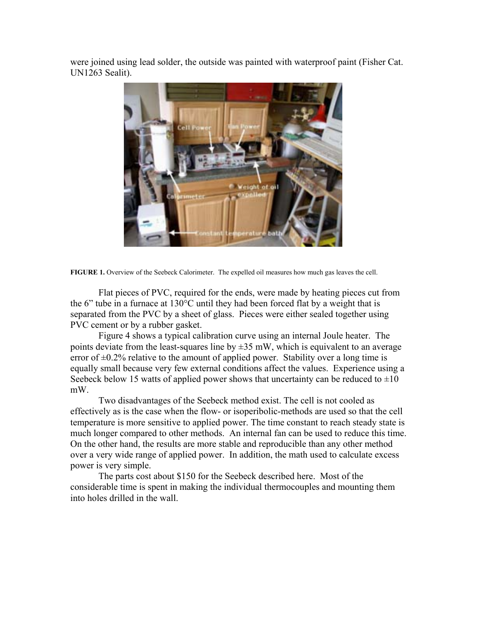were joined using lead solder, the outside was painted with waterproof paint (Fisher Cat. UN1263 Sealit).



**FIGURE 1.** Overview of the Seebeck Calorimeter. The expelled oil measures how much gas leaves the cell.

Flat pieces of PVC, required for the ends, were made by heating pieces cut from the 6" tube in a furnace at 130°C until they had been forced flat by a weight that is separated from the PVC by a sheet of glass. Pieces were either sealed together using PVC cement or by a rubber gasket.

Figure 4 shows a typical calibration curve using an internal Joule heater. The points deviate from the least-squares line by  $\pm 35$  mW, which is equivalent to an average error of  $\pm 0.2\%$  relative to the amount of applied power. Stability over a long time is equally small because very few external conditions affect the values. Experience using a Seebeck below 15 watts of applied power shows that uncertainty can be reduced to  $\pm 10$ mW.

Two disadvantages of the Seebeck method exist. The cell is not cooled as effectively as is the case when the flow- or isoperibolic-methods are used so that the cell temperature is more sensitive to applied power. The time constant to reach steady state is much longer compared to other methods. An internal fan can be used to reduce this time. On the other hand, the results are more stable and reproducible than any other method over a very wide range of applied power. In addition, the math used to calculate excess power is very simple.

The parts cost about \$150 for the Seebeck described here. Most of the considerable time is spent in making the individual thermocouples and mounting them into holes drilled in the wall.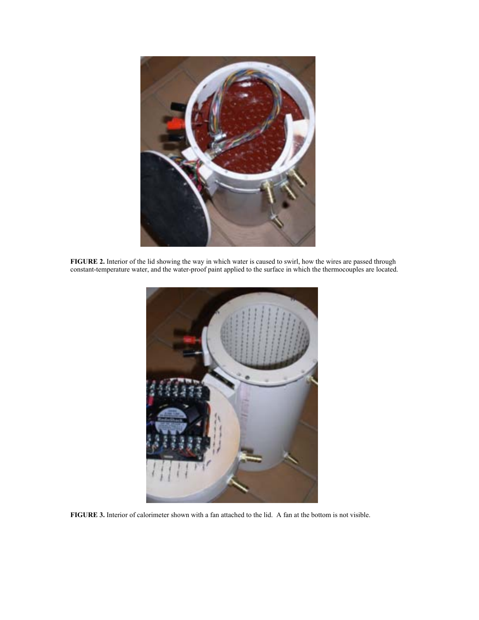

**FIGURE 2.** Interior of the lid showing the way in which water is caused to swirl, how the wires are passed through constant-temperature water, and the water-proof paint applied to the surface in which the thermocouples are located.



**FIGURE 3.** Interior of calorimeter shown with a fan attached to the lid. A fan at the bottom is not visible.